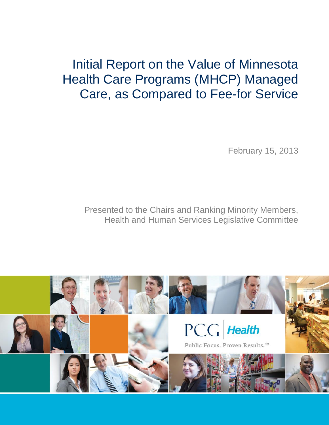# Initial Report on the Value of Minnesota Health Care Programs (MHCP) Managed Care, as Compared to Fee-for Service

February 15, 2013

Presented to the Chairs and Ranking Minority Members, Health and Human Services Legislative Committee

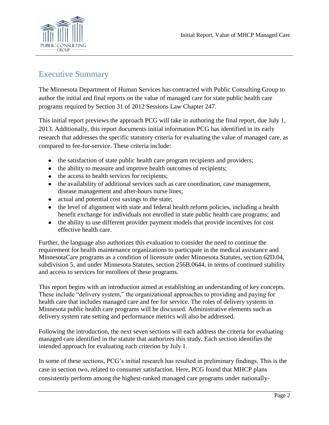

# Executive Summary

The Minnesota Department of Human Services has contracted with Public Consulting Group to author the initial and final reports on the value of managed care for state public health care programs required by Section 31 of 2012 Sessions Law Chapter 247.

This initial report previews the approach PCG will take in authoring the final report, due July 1, 2013. Additionally, this report documents initial information PCG has identified in its early research that addresses the specific statutory criteria for evaluating the value of managed care, as compared to fee-for-service. These criteria include:

- the satisfaction of state public health care program recipients and providers;
- the ability to measure and improve health outcomes of recipients;
- the access to health services for recipients;
- the availability of additional services such as care coordination, case management, disease management and after-hours nurse lines;
- actual and potential cost savings to the state;
- the level of alignment with state and federal health reform policies, including a health benefit exchange for individuals not enrolled in state public health care programs; and
- the ability to use different provider payment models that provide incentives for cost effective health care.

Further, the language also authorizes this evaluation to consider the need to continue the requirement for health maintenance organizations to participate in the medical assistance and MinnesotaCare programs as a condition of licensure under Minnesota Statutes, section 62D.04, subdivision 5, and under Minnesota Statutes, section 256B.0644, in terms of continued stability and access to services for enrollees of these programs.

This report begins with an introduction aimed at establishing an understanding of key concepts. These include "delivery system," the organizational approaches to providing and paying for health care that includes managed care and fee for service. The roles of delivery systems in Minnesota public health care programs will be discussed. Administrative elements such as delivery system rate setting and performance metrics will also be addressed.

Following the introduction, the next seven sections will each address the criteria for evaluating managed care identified in the statute that authorizes this study. Each section identifies the intended approach for evaluating each criterion by July 1.

In some of these sections, PCG's initial research has resulted in preliminary findings. This is the case in section two, related to consumer satisfaction. Here, PCG found that MHCP plans consistently perform among the highest-ranked managed care programs under nationally-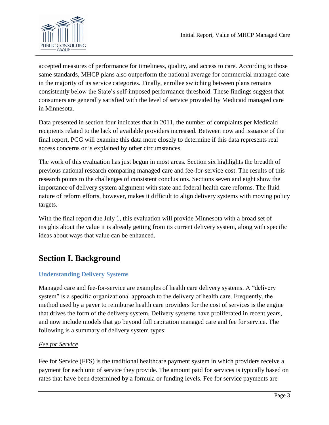

accepted measures of performance for timeliness, quality, and access to care. According to those same standards, MHCP plans also outperform the national average for commercial managed care in the majority of its service categories. Finally, enrollee switching between plans remains consistently below the State's self-imposed performance threshold. These findings suggest that consumers are generally satisfied with the level of service provided by Medicaid managed care in Minnesota.

Data presented in section four indicates that in 2011, the number of complaints per Medicaid recipients related to the lack of available providers increased. Between now and issuance of the final report, PCG will examine this data more closely to determine if this data represents real access concerns or is explained by other circumstances.

The work of this evaluation has just begun in most areas. Section six highlights the breadth of previous national research comparing managed care and fee-for-service cost. The results of this research points to the challenges of consistent conclusions. Sections seven and eight show the importance of delivery system alignment with state and federal health care reforms. The fluid nature of reform efforts, however, makes it difficult to align delivery systems with moving policy targets.

With the final report due July 1, this evaluation will provide Minnesota with a broad set of insights about the value it is already getting from its current delivery system, along with specific ideas about ways that value can be enhanced.

# **Section I. Background**

# **Understanding Delivery Systems**

Managed care and fee-for-service are examples of health care delivery systems. A "delivery system" is a specific organizational approach to the delivery of health care. Frequently, the method used by a payer to reimburse health care providers for the cost of services is the engine that drives the form of the delivery system. Delivery systems have proliferated in recent years, and now include models that go beyond full capitation managed care and fee for service. The following is a summary of delivery system types:

# *Fee for Service*

Fee for Service (FFS) is the traditional healthcare payment system in which providers receive a payment for each unit of service they provide. The amount paid for services is typically based on rates that have been determined by a formula or funding levels. Fee for service payments are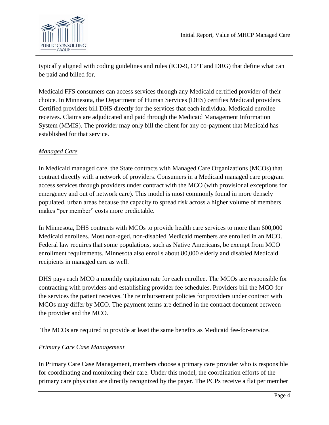



typically aligned with coding guidelines and rules (ICD-9, CPT and DRG) that define what can be paid and billed for.

Medicaid FFS consumers can access services through any Medicaid certified provider of their choice. In Minnesota, the Department of Human Services (DHS) certifies Medicaid providers. Certified providers bill DHS directly for the services that each individual Medicaid enrollee receives. Claims are adjudicated and paid through the Medicaid Management Information System (MMIS). The provider may only bill the client for any co-payment that Medicaid has established for that service.

# *Managed Care*

In Medicaid managed care, the State contracts with Managed Care Organizations (MCOs) that contract directly with a network of providers. Consumers in a Medicaid managed care program access services through providers under contract with the MCO (with provisional exceptions for emergency and out of network care). This model is most commonly found in more densely populated, urban areas because the capacity to spread risk across a higher volume of members makes "per member" costs more predictable.

In Minnesota, DHS contracts with MCOs to provide health care services to more than 600,000 Medicaid enrollees. Most non-aged, non-disabled Medicaid members are enrolled in an MCO. Federal law requires that some populations, such as Native Americans, be exempt from MCO enrollment requirements. Minnesota also enrolls about 80,000 elderly and disabled Medicaid recipients in managed care as well.

DHS pays each MCO a monthly capitation rate for each enrollee. The MCOs are responsible for contracting with providers and establishing provider fee schedules. Providers bill the MCO for the services the patient receives. The reimbursement policies for providers under contract with MCOs may differ by MCO. The payment terms are defined in the contract document between the provider and the MCO.

The MCOs are required to provide at least the same benefits as Medicaid fee-for-service.

# *Primary Care Case Management*

In Primary Care Case Management, members choose a primary care provider who is responsible for coordinating and monitoring their care. Under this model, the coordination efforts of the primary care physician are directly recognized by the payer. The PCPs receive a flat per member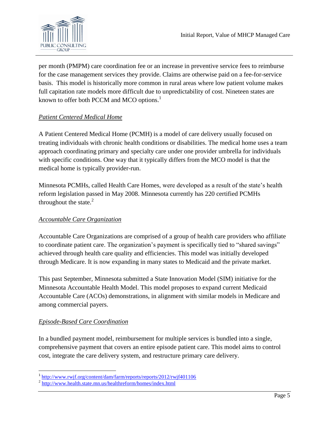per month (PMPM) care coordination fee or an increase in preventive service fees to reimburse for the case management services they provide. Claims are otherwise paid on a fee-for-service basis. This model is historically more common in rural areas where low patient volume makes full capitation rate models more difficult due to unpredictability of cost. Nineteen states are known to offer both PCCM and MCO options.<sup>1</sup>

# *Patient Centered Medical Home*

A Patient Centered Medical Home (PCMH) is a model of care delivery usually focused on treating individuals with chronic health conditions or disabilities. The medical home uses a team approach coordinating primary and specialty care under one provider umbrella for individuals with specific conditions. One way that it typically differs from the MCO model is that the medical home is typically provider-run.

Minnesota PCMHs, called Health Care Homes, were developed as a result of the state's health reform legislation passed in May 2008. Minnesota currently has 220 certified PCMHs throughout the state. $2$ 

# *Accountable Care Organization*

Accountable Care Organizations are comprised of a group of health care providers who affiliate to coordinate patient care. The organization's payment is specifically tied to "shared savings" achieved through health care quality and efficiencies. This model was initially developed through Medicare. It is now expanding in many states to Medicaid and the private market.

This past September, Minnesota submitted a State Innovation Model (SIM) initiative for the Minnesota Accountable Health Model. This model proposes to expand current Medicaid Accountable Care (ACOs) demonstrations, in alignment with similar models in Medicare and among commercial payers.

# *Episode-Based Care Coordination*

In a bundled payment model, reimbursement for multiple services is bundled into a single, comprehensive payment that covers an entire episode patient care. This model aims to control cost, integrate the care delivery system, and restructure primary care delivery.

 1 <http://www.rwjf.org/content/dam/farm/reports/reports/2012/rwjf401106>

<sup>&</sup>lt;sup>2</sup> <http://www.health.state.mn.us/healthreform/homes/index.html>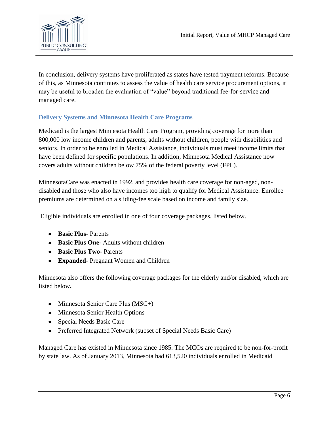

In conclusion, delivery systems have proliferated as states have tested payment reforms. Because of this, as Minnesota continues to assess the value of health care service procurement options, it may be useful to broaden the evaluation of "value" beyond traditional fee-for-service and managed care.

# **Delivery Systems and Minnesota Health Care Programs**

Medicaid is the largest Minnesota Health Care Program, providing coverage for more than 800,000 low income children and parents, adults without children, people with disabilities and seniors. In order to be enrolled in Medical Assistance, individuals must meet income limits that have been defined for specific populations. In addition, Minnesota Medical Assistance now covers adults without children below 75% of the federal poverty level (FPL).

MinnesotaCare was enacted in 1992, and provides health care coverage for non-aged, nondisabled and those who also have incomes too high to qualify for Medical Assistance. Enrollee premiums are determined on a sliding-fee scale based on income and family size.

Eligible individuals are enrolled in one of four coverage packages, listed below.

- **Basic Plus-** Parents
- **Basic Plus One-** Adults without children
- **Basic Plus Two-** Parents
- **Expanded** Pregnant Women and Children

Minnesota also offers the following coverage packages for the elderly and/or disabled, which are listed below**.**

- Minnesota Senior Care Plus (MSC+)
- Minnesota Senior Health Options
- Special Needs Basic Care
- Preferred Integrated Network (subset of Special Needs Basic Care)

Managed Care has existed in Minnesota since 1985. The MCOs are required to be non-for-profit by state law. As of January 2013, Minnesota had 613,520 individuals enrolled in Medicaid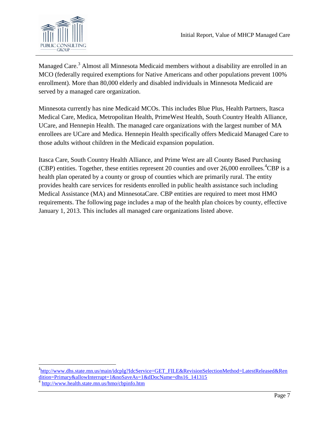

Managed Care.<sup>3</sup> Almost all Minnesota Medicaid members without a disability are enrolled in an MCO (federally required exemptions for Native Americans and other populations prevent 100% enrollment). More than 80,000 elderly and disabled individuals in Minnesota Medicaid are served by a managed care organization.

Minnesota currently has nine Medicaid MCOs. This includes Blue Plus, Health Partners, Itasca Medical Care, Medica, Metropolitan Health, PrimeWest Health, South Country Health Alliance, UCare, and Hennepin Health. The managed care organizations with the largest number of MA enrollees are UCare and Medica. Hennepin Health specifically offers Medicaid Managed Care to those adults without children in the Medicaid expansion population.

Itasca Care, South Country Health Alliance, and Prime West are all County Based Purchasing (CBP) entities. Together, these entities represent 20 counties and over  $26,000$  enrollees. <sup>4</sup>CBP is a health plan operated by a county or group of counties which are primarily rural. The entity provides health care services for residents enrolled in public health assistance such including Medical Assistance (MA) and MinnesotaCare. CBP entities are required to meet most HMO requirements. The following page includes a map of the health plan choices by county, effective January 1, 2013. This includes all managed care organizations listed above.

 $\overline{\phantom{a}}$ 

<sup>&</sup>lt;sup>3</sup>[http://www.dhs.state.mn.us/main/idcplg?IdcService=GET\\_FILE&RevisionSelectionMethod=LatestReleased&Ren](http://www.dhs.state.mn.us/main/idcplg?IdcService=GET_FILE&RevisionSelectionMethod=LatestReleased&Rendition=Primary&allowInterrupt=1&noSaveAs=1&dDocName=dhs16_141315) [dition=Primary&allowInterrupt=1&noSaveAs=1&dDocName=dhs16\\_141315](http://www.dhs.state.mn.us/main/idcplg?IdcService=GET_FILE&RevisionSelectionMethod=LatestReleased&Rendition=Primary&allowInterrupt=1&noSaveAs=1&dDocName=dhs16_141315)

<sup>4</sup> <http://www.health.state.mn.us/hmo/cbpinfo.htm>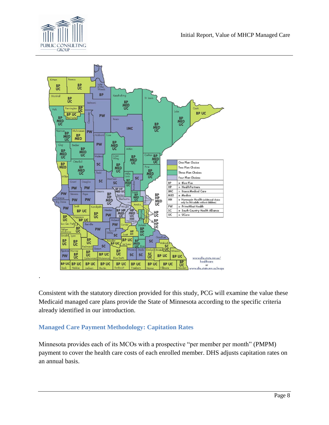

.



Consistent with the statutory direction provided for this study, PCG will examine the value these Medicaid managed care plans provide the State of Minnesota according to the specific criteria already identified in our introduction.

# **Managed Care Payment Methodology: Capitation Rates**

Minnesota provides each of its MCOs with a prospective "per member per month" (PMPM) payment to cover the health care costs of each enrolled member. DHS adjusts capitation rates on an annual basis.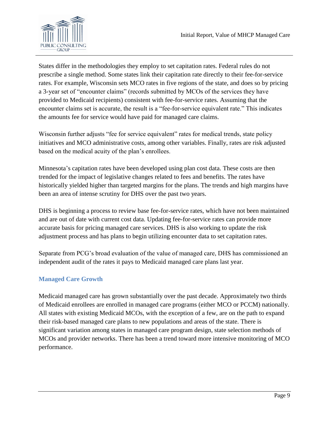

States differ in the methodologies they employ to set capitation rates. Federal rules do not prescribe a single method. Some states link their capitation rate directly to their fee-for-service rates. For example, Wisconsin sets MCO rates in five regions of the state, and does so by pricing a 3-year set of "encounter claims" (records submitted by MCOs of the services they have provided to Medicaid recipients) consistent with fee-for-service rates. Assuming that the encounter claims set is accurate, the result is a "fee-for-service equivalent rate." This indicates the amounts fee for service would have paid for managed care claims.

Wisconsin further adjusts "fee for service equivalent" rates for medical trends, state policy initiatives and MCO administrative costs, among other variables. Finally, rates are risk adjusted based on the medical acuity of the plan's enrollees.

Minnesota's capitation rates have been developed using plan cost data. These costs are then trended for the impact of legislative changes related to fees and benefits. The rates have historically yielded higher than targeted margins for the plans. The trends and high margins have been an area of intense scrutiny for DHS over the past two years.

DHS is beginning a process to review base fee-for-service rates, which have not been maintained and are out of date with current cost data. Updating fee-for-service rates can provide more accurate basis for pricing managed care services. DHS is also working to update the risk adjustment process and has plans to begin utilizing encounter data to set capitation rates.

Separate from PCG's broad evaluation of the value of managed care, DHS has commissioned an independent audit of the rates it pays to Medicaid managed care plans last year.

# **Managed Care Growth**

Medicaid managed care has grown substantially over the past decade. Approximately two thirds of Medicaid enrollees are enrolled in managed care programs (either MCO or PCCM) nationally. All states with existing Medicaid MCOs, with the exception of a few, are on the path to expand their risk-based managed care plans to new populations and areas of the state. There is significant variation among states in managed care program design, state selection methods of MCOs and provider networks. There has been a trend toward more intensive monitoring of MCO performance.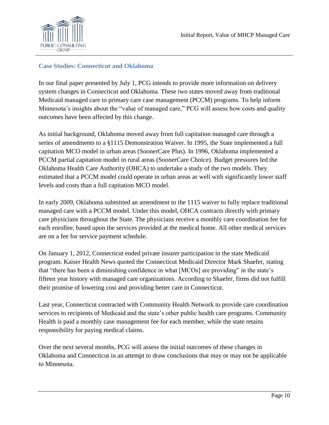

### **Case Studies: Connecticut and Oklahoma**

In our final paper presented by July 1, PCG intends to provide more information on delivery system changes in Connecticut and Oklahoma. These two states moved away from traditional Medicaid managed care to primary care case management (PCCM) programs. To help inform Minnesota's insights about the "value of managed care," PCG will assess how costs and quality outcomes have been affected by this change.

As initial background, Oklahoma moved away from full capitation managed care through a series of amendments to a §1115 Demonstration Waiver. In 1995, the State implemented a full capitation MCO model in urban areas (SoonerCare Plus). In 1996, Oklahoma implemented a PCCM partial capitation model in rural areas (SoonerCare Choice). Budget pressures led the Oklahoma Health Care Authority (OHCA) to undertake a study of the two models. They estimated that a PCCM model could operate in urban areas as well with significantly lower staff levels and costs than a full capitation MCO model.

In early 2009, Oklahoma submitted an amendment to the 1115 waiver to fully replace traditional managed care with a PCCM model. Under this model, OHCA contracts directly with primary care physicians throughout the State. The physicians receive a monthly care coordination fee for each enrollee, based upon the services provided at the medical home. All other medical services are on a fee for service payment schedule.

On January 1, 2012, Connecticut ended private insurer participation in the state Medicaid program. Kaiser Health News quoted the Connecticut Medicaid Director Mark Shaefer, stating that "there has been a diminishing confidence in what [MCOs] are providing" in the state's fifteen year history with managed care organizations. According to Shaefer, firms did not fulfill their promise of lowering cost and providing better care in Connecticut.

Last year, Connecticut contracted with Community Health Network to provide care coordination services to recipients of Medicaid and the state's other public health care programs. Community Health is paid a monthly case management fee for each member, while the state retains responsibility for paying medical claims.

Over the next several months, PCG will assess the initial outcomes of these changes in Oklahoma and Connecticut in an attempt to draw conclusions that may or may not be applicable to Minnesota.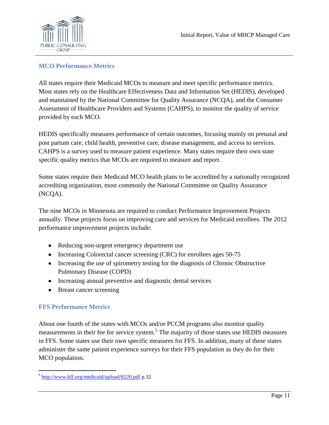

### **MCO Performance Metrics**

All states require their Medicaid MCOs to measure and meet specific performance metrics. Most states rely on the Healthcare Effectiveness Data and Information Set (HEDIS), developed and maintained by the National Committee for Quality Assurance (NCQA), and the Consumer Assessment of Healthcare Providers and Systems (CAHPS), to monitor the quality of service provided by each MCO.

HEDIS specifically measures performance of certain outcomes, focusing mainly on prenatal and post partum care, child health, preventive care, disease management, and access to services. CAHPS is a survey used to measure patient experience. Many states require their own state specific quality metrics that MCOs are required to measure and report.

Some states require their Medicaid MCO health plans to be accredited by a nationally recognized accrediting organization, most commonly the National Committee on Quality Assurance (NCQA).

The nine MCOs in Minnesota are required to conduct Performance Improvement Projects annually. These projects focus on improving care and services for Medicaid enrollees. The 2012 performance improvement projects include:

- Reducing non-urgent emergency department use
- Increasing Colorectal cancer screening (CRC) for enrollees ages 50-75
- Increasing the use of spirometry testing for the diagnosis of Chronic Obstructive Pulmonary Disease (COPD)
- Increasing annual preventive and diagnostic dental services
- Breast cancer screening

# **FFS Performance Metrics**

About one fourth of the states with MCOs and/or PCCM programs also monitor quality measurements in their fee for service system.<sup>5</sup> The majority of those states use HEDIS measures in FFS. Some states use their own specific measures for FFS. In addition, many of these states administer the same patient experience surveys for their FFS population as they do for their MCO population.

 5 <http://www.kff.org/medicaid/upload/8220.pdf> p.32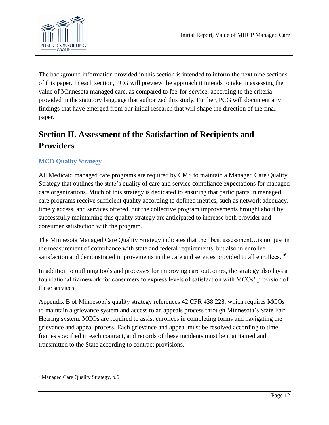

The background information provided in this section is intended to inform the next nine sections of this paper. In each section, PCG will preview the approach it intends to take in assessing the value of Minnesota managed care, as compared to fee-for-service, according to the criteria provided in the statutory language that authorized this study. Further, PCG will document any findings that have emerged from our initial research that will shape the direction of the final paper.

# **Section II. Assessment of the Satisfaction of Recipients and Providers**

# **MCO Quality Strategy**

All Medicaid managed care programs are required by CMS to maintain a Managed Care Quality Strategy that outlines the state's quality of care and service compliance expectations for managed care organizations. Much of this strategy is dedicated to ensuring that participants in managed care programs receive sufficient quality according to defined metrics, such as network adequacy, timely access, and services offered, but the collective program improvements brought about by successfully maintaining this quality strategy are anticipated to increase both provider and consumer satisfaction with the program.

The Minnesota Managed Care Quality Strategy indicates that the "best assessment... is not just in the measurement of compliance with state and federal requirements, but also in enrollee satisfaction and demonstrated improvements in the care and services provided to all enrollees."<sup>6</sup>

In addition to outlining tools and processes for improving care outcomes, the strategy also lays a foundational framework for consumers to express levels of satisfaction with MCOs' provision of these services.

Appendix B of Minnesota's quality strategy references 42 CFR 438.228, which requires MCOs to maintain a grievance system and access to an appeals process through Minnesota's State Fair Hearing system. MCOs are required to assist enrollees in completing forms and navigating the grievance and appeal process. Each grievance and appeal must be resolved according to time frames specified in each contract, and records of these incidents must be maintained and transmitted to the State according to contract provisions.

 $\overline{\phantom{a}}$ 

<sup>&</sup>lt;sup>6</sup> Managed Care Quality Strategy, p.6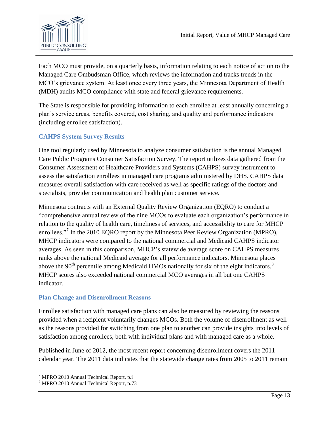

Each MCO must provide, on a quarterly basis, information relating to each notice of action to the Managed Care Ombudsman Office, which reviews the information and tracks trends in the MCO's grievance system. At least once every three years, the Minnesota Department of Health (MDH) audits MCO compliance with state and federal grievance requirements.

The State is responsible for providing information to each enrollee at least annually concerning a plan's service areas, benefits covered, cost sharing, and quality and performance indicators (including enrollee satisfaction).

# **CAHPS System Survey Results**

One tool regularly used by Minnesota to analyze consumer satisfaction is the annual Managed Care Public Programs Consumer Satisfaction Survey. The report utilizes data gathered from the Consumer Assessment of Healthcare Providers and Systems (CAHPS) survey instrument to assess the satisfaction enrollees in managed care programs administered by DHS. CAHPS data measures overall satisfaction with care received as well as specific ratings of the doctors and specialists, provider communication and health plan customer service.

Minnesota contracts with an External Quality Review Organization (EQRO) to conduct a ―comprehensive annual review of the nine MCOs to evaluate each organization's performance in relation to the quality of health care, timeliness of services, and accessibility to care for MHCP enrollees."<sup>7</sup> In the 2010 EQRO report by the Minnesota Peer Review Organization (MPRO), MHCP indicators were compared to the national commercial and Medicaid CAHPS indicator averages. As seen in this comparison, MHCP's statewide average score on CAHPS measures ranks above the national Medicaid average for all performance indicators. Minnesota places above the  $90<sup>th</sup>$  percentile among Medicaid HMOs nationally for six of the eight indicators.<sup>8</sup> MHCP scores also exceeded national commercial MCO averages in all but one CAHPS indicator.

# **Plan Change and Disenrollment Reasons**

Enrollee satisfaction with managed care plans can also be measured by reviewing the reasons provided when a recipient voluntarily changes MCOs. Both the volume of disenrollment as well as the reasons provided for switching from one plan to another can provide insights into levels of satisfaction among enrollees, both with individual plans and with managed care as a whole.

Published in June of 2012, the most recent report concerning disenrollment covers the 2011 calendar year. The 2011 data indicates that the statewide change rates from 2005 to 2011 remain

 $\overline{\phantom{a}}$ <sup>7</sup> MPRO 2010 Annual Technical Report, p.i

<sup>8</sup> MPRO 2010 Annual Technical Report, p.73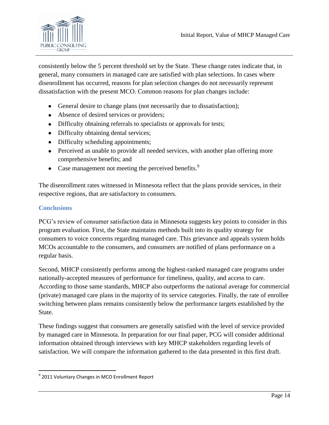

consistently below the 5 percent threshold set by the State. These change rates indicate that, in general, many consumers in managed care are satisfied with plan selections. In cases where disenrollment has occurred, reasons for plan selection changes do not necessarily represent dissatisfaction with the present MCO. Common reasons for plan changes include:

- General desire to change plans (not necessarily due to dissatisfaction);
- Absence of desired services or providers;
- Difficulty obtaining referrals to specialists or approvals for tests;
- Difficulty obtaining dental services;
- Difficulty scheduling appointments;
- Perceived as unable to provide all needed services, with another plan offering more comprehensive benefits; and
- Case management not meeting the perceived benefits. $9$

The disenrollment rates witnessed in Minnesota reflect that the plans provide services, in their respective regions, that are satisfactory to consumers.

# **Conclusions**

l

PCG's review of consumer satisfaction data in Minnesota suggests key points to consider in this program evaluation. First, the State maintains methods built into its quality strategy for consumers to voice concerns regarding managed care. This grievance and appeals system holds MCOs accountable to the consumers, and consumers are notified of plans performance on a regular basis.

Second, MHCP consistently performs among the highest-ranked managed care programs under nationally-accepted measures of performance for timeliness, quality, and access to care. According to those same standards, MHCP also outperforms the national average for commercial (private) managed care plans in the majority of its service categories. Finally, the rate of enrollee switching between plans remains consistently below the performance targets established by the State.

These findings suggest that consumers are generally satisfied with the level of service provided by managed care in Minnesota. In preparation for our final paper, PCG will consider additional information obtained through interviews with key MHCP stakeholders regarding levels of satisfaction. We will compare the information gathered to the data presented in this first draft.

<sup>&</sup>lt;sup>9</sup> 2011 Voluntary Changes in MCO Enrollment Report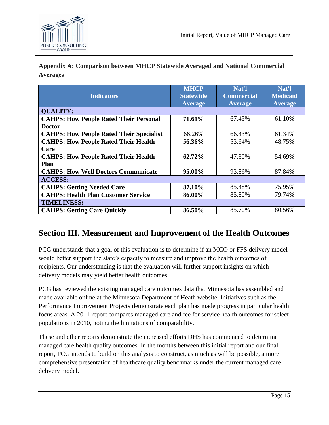

**Appendix A: Comparison between MHCP Statewide Averaged and National Commercial Averages**

| <b>Indicators</b>                               | <b>MHCP</b><br><b>Statewide</b><br><b>Average</b> | Nat'l<br><b>Commercial</b><br><b>Average</b> | Nat'l<br><b>Medicaid</b><br><b>Average</b> |
|-------------------------------------------------|---------------------------------------------------|----------------------------------------------|--------------------------------------------|
| <b>QUALITY:</b>                                 |                                                   |                                              |                                            |
| <b>CAHPS: How People Rated Their Personal</b>   | 71.61%                                            | 67.45%                                       | 61.10%                                     |
| <b>Doctor</b>                                   |                                                   |                                              |                                            |
| <b>CAHPS: How People Rated Their Specialist</b> | 66.26%                                            | 66.43%                                       | 61.34%                                     |
| <b>CAHPS: How People Rated Their Health</b>     | 56.36%                                            | 53.64%                                       | 48.75%                                     |
| Care                                            |                                                   |                                              |                                            |
| <b>CAHPS: How People Rated Their Health</b>     | 62.72%                                            | 47.30%                                       | 54.69%                                     |
| <b>Plan</b>                                     |                                                   |                                              |                                            |
| <b>CAHPS: How Well Doctors Communicate</b>      | 95.00%                                            | 93.86%                                       | 87.84%                                     |
| <b>ACCESS:</b>                                  |                                                   |                                              |                                            |
| <b>CAHPS: Getting Needed Care</b>               | 87.10%                                            | 85.48%                                       | 75.95%                                     |
| <b>CAHPS: Health Plan Customer Service</b>      | 86.00%                                            | 85.80%                                       | 79.74%                                     |
| <b>TIMELINESS:</b>                              |                                                   |                                              |                                            |
| <b>CAHPS: Getting Care Quickly</b>              | 86.50%                                            | 85.70%                                       | 80.56%                                     |

# **Section III. Measurement and Improvement of the Health Outcomes**

PCG understands that a goal of this evaluation is to determine if an MCO or FFS delivery model would better support the state's capacity to measure and improve the health outcomes of recipients. Our understanding is that the evaluation will further support insights on which delivery models may yield better health outcomes.

PCG has reviewed the existing managed care outcomes data that Minnesota has assembled and made available online at the Minnesota Department of Heath website. Initiatives such as the Performance Improvement Projects demonstrate each plan has made progress in particular health focus areas. A 2011 report compares managed care and fee for service health outcomes for select populations in 2010, noting the limitations of comparability.

These and other reports demonstrate the increased efforts DHS has commenced to determine managed care health quality outcomes. In the months between this initial report and our final report, PCG intends to build on this analysis to construct, as much as will be possible, a more comprehensive presentation of healthcare quality benchmarks under the current managed care delivery model.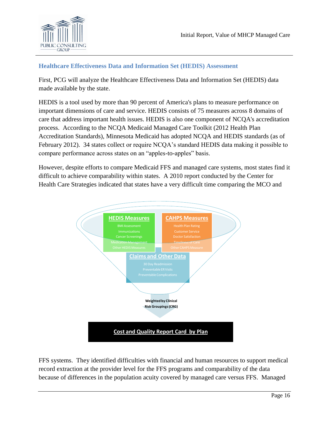

### **Healthcare Effectiveness Data and Information Set (HEDIS) Assessment**

First, PCG will analyze the Healthcare Effectiveness Data and Information Set (HEDIS) data made available by the state.

HEDIS is a tool used by more than 90 percent of America's plans to measure performance on important dimensions of care and service. HEDIS consists of 75 measures across 8 domains of care that address important health issues. HEDIS is also one component of NCQA's accreditation process. According to the NCQA Medicaid Managed Care Toolkit (2012 Health Plan Accreditation Standards), Minnesota Medicaid has adopted NCQA and HEDIS standards (as of February 2012). 34 states collect or require NCQA's standard HEDIS data making it possible to compare performance across states on an "apples-to-apples" basis.

However, despite efforts to compare Medicaid FFS and managed care systems, most states find it difficult to achieve comparability within states. A 2010 report conducted by the Center for Health Care Strategies indicated that states have a very difficult time comparing the MCO and



FFS systems. They identified difficulties with financial and human resources to support medical record extraction at the provider level for the FFS programs and comparability of the data because of differences in the population acuity covered by managed care versus FFS. Managed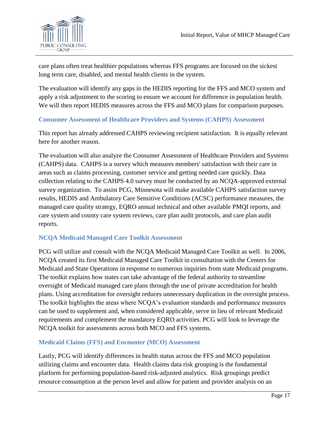

care plans often treat healthier populations whereas FFS programs are focused on the sickest long term care, disabled, and mental health clients in the system.

The evaluation will identify any gaps in the HEDIS reporting for the FFS and MCO system and apply a risk adjustment to the scoring to ensure we account for difference in population health. We will then report HEDIS measures across the FFS and MCO plans for comparison purposes.

#### **Consumer Assessment of Healthcare Providers and Systems (CAHPS) Assessment**

This report has already addressed CAHPS reviewing recipient satisfaction*.* It is equally relevant here for another reason.

The evaluation will also analyze the Consumer Assessment of Healthcare Providers and Systems (CAHPS) data. CAHPS is a survey which measures members' satisfaction with their care in areas such as claims processing, customer service and getting needed care quickly. Data collection relating to the CAHPS 4.0 survey must be conducted by an NCQA-approved external survey organization. To assist PCG, Minnesota will make available CAHPS satisfaction survey results, HEDIS and Ambulatory Care Sensitive Conditions (ACSC) performance measures, the managed care quality strategy, EQRO annual technical and other available PMQI reports, and care system and county care system reviews, care plan audit protocols, and care plan audit reports.

#### **NCQA Medicaid Managed Care Toolkit Assessment**

PCG will utilize and consult with the NCQA Medicaid Managed Care Toolkit as well. In 2006, NCQA created its first Medicaid Managed Care Toolkit in consultation with the Centers for Medicaid and State Operations in response to numerous inquiries from state Medicaid programs. The toolkit explains how states can take advantage of the federal authority to streamline oversight of Medicaid managed care plans through the use of private accreditation for health plans. Using accreditation for oversight reduces unnecessary duplication in the oversight process. The toolkit highlights the areas where NCQA's evaluation standards and performance measures can be used to supplement and, when considered applicable, serve in lieu of relevant Medicaid requirements and complement the mandatory EQRO activities. PCG will look to leverage the NCQA toolkit for assessments across both MCO and FFS systems.

#### **Medicaid Claims (FFS) and Encounter (MCO) Assessment**

Lastly, PCG will identify differences in health status across the FFS and MCO population utilizing claims and encounter data. Health claims data risk grouping is the fundamental platform for performing population-based risk-adjusted analytics. Risk groupings predict resource consumption at the person level and allow for patient and provider analysis on an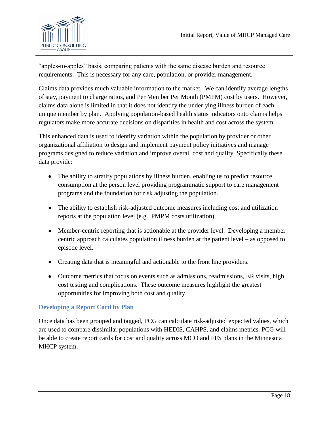

"apples-to-apples" basis, comparing patients with the same disease burden and resource requirements. This is necessary for any care, population, or provider management.

Claims data provides much valuable information to the market. We can identify average lengths of stay, payment to charge ratios, and Per Member Per Month (PMPM) cost by users. However, claims data alone is limited in that it does not identify the underlying illness burden of each unique member by plan. Applying population-based health status indicators onto claims helps regulators make more accurate decisions on disparities in health and cost across the system.

This enhanced data is used to identify variation within the population by provider or other organizational affiliation to design and implement payment policy initiatives and manage programs designed to reduce variation and improve overall cost and quality. Specifically these data provide:

- The ability to stratify populations by illness burden, enabling us to predict resource consumption at the person level providing programmatic support to care management programs and the foundation for risk adjusting the population.
- The ability to establish risk-adjusted outcome measures including cost and utilization reports at the population level (e.g. PMPM costs utilization).
- Member-centric reporting that is actionable at the provider level. Developing a member centric approach calculates population illness burden at the patient level – as opposed to episode level.
- Creating data that is meaningful and actionable to the front line providers.
- Outcome metrics that focus on events such as admissions, readmissions, ER visits, high cost testing and complications. These outcome measures highlight the greatest opportunities for improving both cost and quality.

#### **Developing a Report Card by Plan**

Once data has been grouped and tagged, PCG can calculate risk-adjusted expected values, which are used to compare dissimilar populations with HEDIS, CAHPS, and claims metrics. PCG will be able to create report cards for cost and quality across MCO and FFS plans in the Minnesota MHCP system.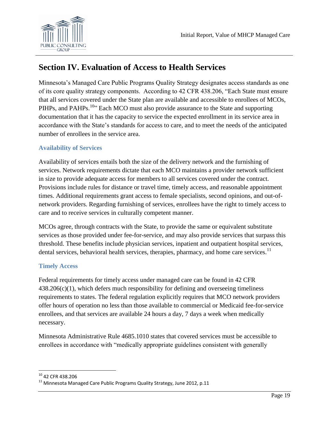

# **Section IV. Evaluation of Access to Health Services**

Minnesota's Managed Care Public Programs Quality Strategy designates access standards as one of its core quality strategy components. According to 42 CFR 438.206, "Each State must ensure that all services covered under the State plan are available and accessible to enrollees of MCOs, PIHPs, and PAHPs.<sup>10</sup> Each MCO must also provide assurance to the State and supporting documentation that it has the capacity to service the expected enrollment in its service area in accordance with the State's standards for access to care, and to meet the needs of the anticipated number of enrollees in the service area.

# **Availability of Services**

Availability of services entails both the size of the delivery network and the furnishing of services. Network requirements dictate that each MCO maintains a provider network sufficient in size to provide adequate access for members to all services covered under the contract. Provisions include rules for distance or travel time, timely access, and reasonable appointment times. Additional requirements grant access to female specialists, second opinions, and out-ofnetwork providers. Regarding furnishing of services, enrollees have the right to timely access to care and to receive services in culturally competent manner.

MCOs agree, through contracts with the State, to provide the same or equivalent substitute services as those provided under fee-for-service, and may also provide services that surpass this threshold. These benefits include physician services, inpatient and outpatient hospital services, dental services, behavioral health services, therapies, pharmacy, and home care services.<sup>11</sup>

# **Timely Access**

Federal requirements for timely access under managed care can be found in 42 CFR  $438.206(c)(1)$ , which defers much responsibility for defining and overseeing timeliness requirements to states. The federal regulation explicitly requires that MCO network providers offer hours of operation no less than those available to commercial or Medicaid fee-for-service enrollees, and that services are available 24 hours a day, 7 days a week when medically necessary.

Minnesota Administrative Rule 4685.1010 states that covered services must be accessible to enrollees in accordance with "medically appropriate guidelines consistent with generally

l <sup>10</sup> 42 CFR 438.206

 $11$  Minnesota Managed Care Public Programs Quality Strategy, June 2012, p.11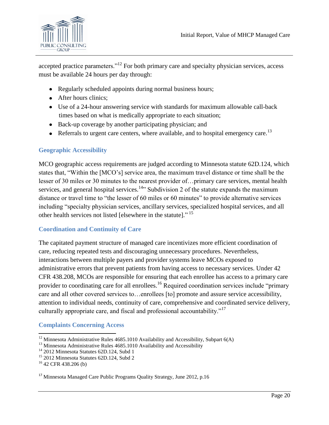

accepted practice parameters."<sup>12</sup> For both primary care and specialty physician services, access must be available 24 hours per day through:

- Regularly scheduled appoints during normal business hours;
- After hours clinics;
- Use of a 24-hour answering service with standards for maximum allowable call-back times based on what is medically appropriate to each situation;
- Back-up coverage by another participating physician; and
- Referrals to urgent care centers, where available, and to hospital emergency care.<sup>13</sup>

# **Geographic Accessibility**

MCO geographic access requirements are judged according to Minnesota statute 62D.124, which states that, "Within the [MCO's] service area, the maximum travel distance or time shall be the lesser of 30 miles or 30 minutes to the nearest provider of…primary care services, mental health services, and general hospital services.<sup>14</sub><sup>2</sup> Subdivision 2 of the statute expands the maximum</sup> distance or travel time to "the lesser of 60 miles or 60 minutes" to provide alternative services including "specialty physician services, ancillary services, specialized hospital services, and all other health services not listed [elsewhere in the statute]."<sup>15</sup>

# **Coordination and Continuity of Care**

The capitated payment structure of managed care incentivizes more efficient coordination of care, reducing repeated tests and discouraging unnecessary procedures. Nevertheless, interactions between multiple payers and provider systems leave MCOs exposed to administrative errors that prevent patients from having access to necessary services. Under 42 CFR 438.208, MCOs are responsible for ensuring that each enrollee has access to a primary care provider to coordinating care for all enrollees.<sup>16</sup> Required coordination services include "primary care and all other covered services to…enrollees [to] promote and assure service accessibility, attention to individual needs, continuity of care, comprehensive and coordinated service delivery, culturally appropriate care, and fiscal and professional accountability. $17$ 

# **Complaints Concerning Access**

 $\overline{\phantom{a}}$ <sup>12</sup> Minnesota Administrative Rules 4685.1010 Availability and Accessibility, Subpart  $6(A)$ 

 $13$  Minnesota Administrative Rules 4685.1010 Availability and Accessibility

<sup>14</sup> 2012 Minnesota Statutes 62D.124, Subd 1

<sup>15</sup> 2012 Minnesota Statutes 62D.124, Subd 2

<sup>16</sup> 42 CFR 438.206 (b)

<sup>&</sup>lt;sup>17</sup> Minnesota Managed Care Public Programs Quality Strategy, June 2012, p.16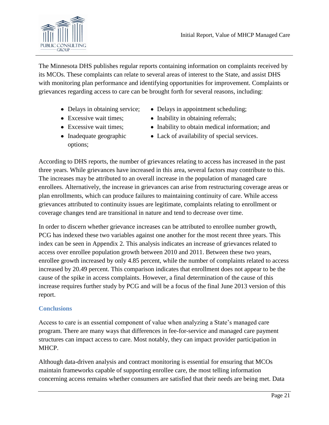

The Minnesota DHS publishes regular reports containing information on complaints received by its MCOs. These complaints can relate to several areas of interest to the State, and assist DHS with monitoring plan performance and identifying opportunities for improvement. Complaints or grievances regarding access to care can be brought forth for several reasons, including:

- 
- 
- 
- Inadequate geographic options;
- Delays in obtaining service; Delays in appointment scheduling;
- Excessive wait times; Inability in obtaining referrals;
- Excessive wait times; Inability to obtain medical information; and
	- Lack of availability of special services.

According to DHS reports, the number of grievances relating to access has increased in the past three years. While grievances have increased in this area, several factors may contribute to this. The increases may be attributed to an overall increase in the population of managed care enrollees. Alternatively, the increase in grievances can arise from restructuring coverage areas or plan enrollments, which can produce failures to maintaining continuity of care. While access grievances attributed to continuity issues are legitimate, complaints relating to enrollment or coverage changes tend are transitional in nature and tend to decrease over time.

In order to discern whether grievance increases can be attributed to enrollee number growth, PCG has indexed these two variables against one another for the most recent three years. This index can be seen in Appendix 2. This analysis indicates an increase of grievances related to access over enrollee population growth between 2010 and 2011. Between these two years, enrollee growth increased by only 4.85 percent, while the number of complaints related to access increased by 20.49 percent. This comparison indicates that enrollment does not appear to be the cause of the spike in access complaints. However, a final determination of the cause of this increase requires further study by PCG and will be a focus of the final June 2013 version of this report.

#### **Conclusions**

Access to care is an essential component of value when analyzing a State's managed care program. There are many ways that differences in fee-for-service and managed care payment structures can impact access to care. Most notably, they can impact provider participation in MHCP.

Although data-driven analysis and contract monitoring is essential for ensuring that MCOs maintain frameworks capable of supporting enrollee care, the most telling information concerning access remains whether consumers are satisfied that their needs are being met. Data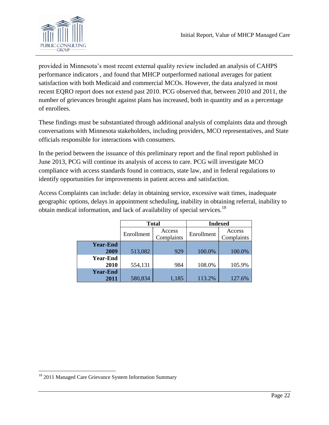

provided in Minnesota's most recent external quality review included an analysis of CAHPS performance indicators , and found that MHCP outperformed national averages for patient satisfaction with both Medicaid and commercial MCOs. However, the data analyzed in most recent EQRO report does not extend past 2010. PCG observed that, between 2010 and 2011, the number of grievances brought against plans has increased, both in quantity and as a percentage of enrollees.

These findings must be substantiated through additional analysis of complaints data and through conversations with Minnesota stakeholders, including providers, MCO representatives, and State officials responsible for interactions with consumers.

In the period between the issuance of this preliminary report and the final report published in June 2013, PCG will continue its analysis of access to care. PCG will investigate MCO compliance with access standards found in contracts, state law, and in federal regulations to identify opportunities for improvements in patient access and satisfaction.

Access Complaints can include: delay in obtaining service, excessive wait times, inadequate geographic options, delays in appointment scheduling, inability in obtaining referral, inability to obtain medical information, and lack of availability of special services.<sup>18</sup>

|                         |            | <b>Total</b>         |            | <b>Indexed</b>       |
|-------------------------|------------|----------------------|------------|----------------------|
|                         | Enrollment | Access<br>Complaints | Enrollment | Access<br>Complaints |
| <b>Year-End</b><br>2009 | 513,082    | 929                  | 100.0%     | 100.0%               |
| <b>Year-End</b><br>2010 | 554,131    | 984                  | 108.0%     | 105.9%               |
| <b>Year-End</b><br>2011 | 580,834    | 1,185                | 113.2%     | 127.6%               |

 $\overline{\phantom{a}}$ 

<sup>&</sup>lt;sup>18</sup> 2011 Managed Care Grievance System Information Summary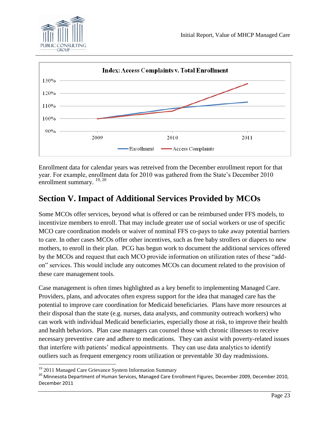



Enrollment data for calendar years was retreived from the December enrollment report for that year. For example, enrollment data for 2010 was gathered from the State's December 2010 enrollment summary.<sup>19, 20</sup>

# **Section V. Impact of Additional Services Provided by MCOs**

Some MCOs offer services, beyond what is offered or can be reimbursed under FFS models, to incentivize members to enroll. That may include greater use of social workers or use of specific MCO care coordination models or waiver of nominal FFS co-pays to take away potential barriers to care. In other cases MCOs offer other incentives, such as free baby strollers or diapers to new mothers, to enroll in their plan. PCG has begun work to document the additional services offered by the MCOs and request that each MCO provide information on utilization rates of these "addon" services. This would include any outcomes MCOs can document related to the provision of these care management tools.

Case management is often times highlighted as a key benefit to implementing Managed Care. Providers, plans, and advocates often express support for the idea that managed care has the potential to improve care coordination for Medicaid beneficiaries. Plans have more resources at their disposal than the state (e.g. nurses, data analysts, and community outreach workers) who can work with individual Medicaid beneficiaries, especially those at risk, to improve their health and health behaviors. Plan case managers can counsel those with chronic illnesses to receive necessary preventive care and adhere to medications. They can assist with poverty-related issues that interfere with patients' medical appointments. They can use data analytics to identify outliers such as frequent emergency room utilization or preventable 30 day readmissions.

 $\overline{\phantom{a}}$ <sup>19</sup> 2011 Managed Care Grievance System Information Summary

<sup>&</sup>lt;sup>20</sup> Minnesota Department of Human Services, Managed Care Enrollment Figures, December 2009, December 2010, December 2011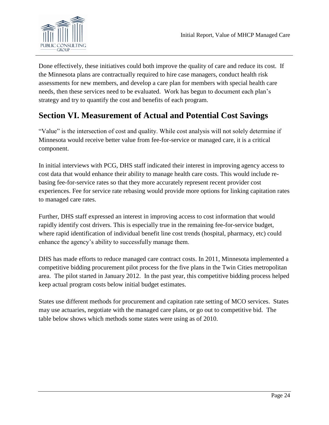

Done effectively, these initiatives could both improve the quality of care and reduce its cost. If the Minnesota plans are contractually required to hire case managers, conduct health risk assessments for new members, and develop a care plan for members with special health care needs, then these services need to be evaluated. Work has begun to document each plan's strategy and try to quantify the cost and benefits of each program.

# **Section VI. Measurement of Actual and Potential Cost Savings**

"Value" is the intersection of cost and quality. While cost analysis will not solely determine if Minnesota would receive better value from fee-for-service or managed care, it is a critical component.

In initial interviews with PCG, DHS staff indicated their interest in improving agency access to cost data that would enhance their ability to manage health care costs. This would include rebasing fee-for-service rates so that they more accurately represent recent provider cost experiences. Fee for service rate rebasing would provide more options for linking capitation rates to managed care rates.

Further, DHS staff expressed an interest in improving access to cost information that would rapidly identify cost drivers. This is especially true in the remaining fee-for-service budget, where rapid identification of individual benefit line cost trends (hospital, pharmacy, etc) could enhance the agency's ability to successfully manage them.

DHS has made efforts to reduce managed care contract costs. In 2011, Minnesota implemented a competitive bidding procurement pilot process for the five plans in the Twin Cities metropolitan area. The pilot started in January 2012. In the past year, this competitive bidding process helped keep actual program costs below initial budget estimates.

States use different methods for procurement and capitation rate setting of MCO services. States may use actuaries, negotiate with the managed care plans, or go out to competitive bid. The table below shows which methods some states were using as of 2010.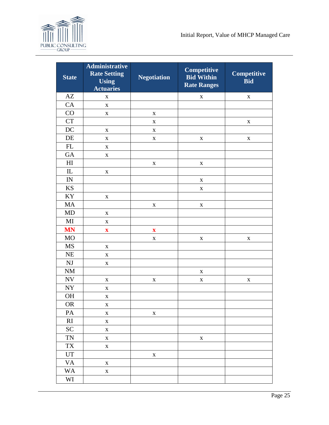

| <b>State</b>               | <b>Administrative</b><br><b>Rate Setting</b><br><b>Using</b><br><b>Actuaries</b> | <b>Negotiation</b>        | <b>Competitive</b><br><b>Bid Within</b><br><b>Rate Ranges</b> | Competitive<br><b>Bid</b> |
|----------------------------|----------------------------------------------------------------------------------|---------------------------|---------------------------------------------------------------|---------------------------|
| $\mathbf{A}\mathbf{Z}$     | $\mathbf X$                                                                      |                           | X                                                             | $\mathbf X$               |
| CA                         | $\mathbf X$                                                                      |                           |                                                               |                           |
| CO                         | $\mathbf X$                                                                      | $\mathbf X$               |                                                               |                           |
| CT                         |                                                                                  | $\mathbf X$               |                                                               | $\mathbf X$               |
| DC                         | $\mathbf X$                                                                      | $\mathbf X$               |                                                               |                           |
| DE                         | $\mathbf X$                                                                      | $\mathbf X$               | $\mathbf X$                                                   | $\mathbf X$               |
| FL                         | $\mathbf X$                                                                      |                           |                                                               |                           |
| GA                         | $\mathbf X$                                                                      |                           |                                                               |                           |
| H <sub>I</sub>             |                                                                                  | $\mathbf X$               | $\mathbf X$                                                   |                           |
| $\mathop{\rm IL}\nolimits$ | $\mathbf X$                                                                      |                           |                                                               |                           |
| $\mathbbm{I}\mathbb{N}$    |                                                                                  |                           | $\mathbf X$                                                   |                           |
| <b>KS</b>                  |                                                                                  |                           | X                                                             |                           |
| KY                         | $\mathbf X$                                                                      |                           |                                                               |                           |
| MA                         |                                                                                  | $\mathbf X$               | $\mathbf X$                                                   |                           |
| MD                         | $\mathbf X$                                                                      |                           |                                                               |                           |
| $\rm MI$                   | $\mathbf X$                                                                      |                           |                                                               |                           |
| <b>MN</b>                  | $\boldsymbol{\mathrm{X}}$                                                        | $\boldsymbol{\mathrm{X}}$ |                                                               |                           |
| <b>MO</b>                  |                                                                                  | $\mathbf X$               | $\mathbf X$                                                   | X                         |
| MS                         | $\mathbf X$                                                                      |                           |                                                               |                           |
| NE                         | $\mathbf X$                                                                      |                           |                                                               |                           |
| $\mathbf{N}\mathbf{J}$     | $\mathbf X$                                                                      |                           |                                                               |                           |
| <b>NM</b>                  |                                                                                  |                           | $\mathbf X$                                                   |                           |
| <b>NV</b>                  | $\mathbf X$                                                                      | $\mathbf X$               | $\mathbf X$                                                   | $\mathbf X$               |
| ${\rm NY}$                 | $\mathbf X$                                                                      |                           |                                                               |                           |
| <b>OH</b>                  | $\mathbf X$                                                                      |                           |                                                               |                           |
| <b>OR</b>                  | $\mathbf X$                                                                      |                           |                                                               |                           |
| PA                         | $\mathbf X$                                                                      | $\mathbf X$               |                                                               |                           |
| RI                         | $\mathbf X$                                                                      |                           |                                                               |                           |
| <b>SC</b>                  | $\mathbf X$                                                                      |                           |                                                               |                           |
| <b>TN</b>                  | $\mathbf X$                                                                      |                           | $\mathbf X$                                                   |                           |
| TX                         | $\mathbf X$                                                                      |                           |                                                               |                           |
| UT                         |                                                                                  | $\mathbf X$               |                                                               |                           |
| <b>VA</b>                  | $\mathbf X$                                                                      |                           |                                                               |                           |
| <b>WA</b>                  | $\mathbf X$                                                                      |                           |                                                               |                           |
| WI                         |                                                                                  |                           |                                                               |                           |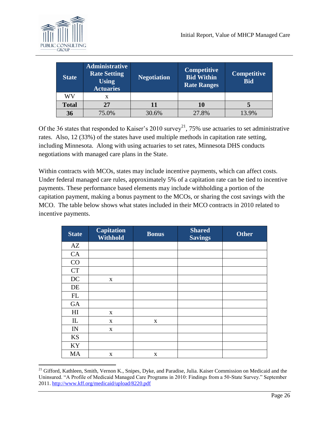

| <b>State</b> | <b>Administrative</b><br><b>Rate Setting</b><br>Using<br><b>Actuaries</b> | <b>Negotiation</b> | Competitive<br><b>Bid Within</b><br><b>Rate Ranges</b> | <b>Competitive</b><br><b>Bid</b> |
|--------------|---------------------------------------------------------------------------|--------------------|--------------------------------------------------------|----------------------------------|
| WV           | x                                                                         |                    |                                                        |                                  |
| <b>Total</b> | 27                                                                        |                    | 10                                                     |                                  |
| 36           | 75.0%                                                                     | 30.6%              | 27.8%                                                  | 13.9%                            |

Of the 36 states that responded to Kaiser's 2010 survey<sup>21</sup>, 75% use actuaries to set administrative rates. Also, 12 (33%) of the states have used multiple methods in capitation rate setting, including Minnesota. Along with using actuaries to set rates, Minnesota DHS conducts negotiations with managed care plans in the State.

Within contracts with MCOs, states may include incentive payments, which can affect costs. Under federal managed care rules, approximately 5% of a capitation rate can be tied to incentive payments. These performance based elements may include withholding a portion of the capitation payment, making a bonus payment to the MCOs, or sharing the cost savings with the MCO. The table below shows what states included in their MCO contracts in 2010 related to incentive payments.

| <b>State</b>             | <b>Capitation</b><br><b>Withhold</b> | <b>Bonus</b> | <b>Shared</b><br><b>Savings</b> | <b>Other</b> |
|--------------------------|--------------------------------------|--------------|---------------------------------|--------------|
| AZ                       |                                      |              |                                 |              |
| CA                       |                                      |              |                                 |              |
| CO                       |                                      |              |                                 |              |
| CT                       |                                      |              |                                 |              |
| DC                       | X                                    |              |                                 |              |
| DE                       |                                      |              |                                 |              |
| $\mathbf{FL}$            |                                      |              |                                 |              |
| <b>GA</b>                |                                      |              |                                 |              |
| H <sub>I</sub>           | X                                    |              |                                 |              |
| IL                       | X                                    | $\mathbf X$  |                                 |              |
| $\ensuremath{\text{IN}}$ | X                                    |              |                                 |              |
| KS                       |                                      |              |                                 |              |
| KY                       |                                      |              |                                 |              |
| MA                       | X                                    | $\mathbf X$  |                                 |              |

 $\overline{\phantom{a}}$ <sup>21</sup> Gifford, Kathleen, Smith, Vernon K., Snipes, Dyke, and Paradise, Julia. Kaiser Commission on Medicaid and the Uninsured. "A Profile of Medicaid Managed Care Programs in 2010: Findings from a 50-State Survey." September 2011.<http://www.kff.org/medicaid/upload/8220.pdf>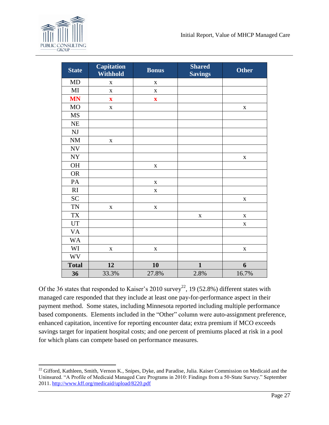| <b>State</b>             | <b>Capitation</b><br><b>Withhold</b> | <b>Bonus</b>            | <b>Shared</b><br><b>Savings</b> | <b>Other</b> |
|--------------------------|--------------------------------------|-------------------------|---------------------------------|--------------|
| MD                       | $\mathbf X$                          | $\mathbf X$             |                                 |              |
| MI                       | $\mathbf X$                          | X                       |                                 |              |
| <b>MN</b>                | $\boldsymbol{\mathrm{X}}$            | $\overline{\mathbf{X}}$ |                                 |              |
| <b>MO</b>                | $\mathbf X$                          |                         |                                 | $\mathbf X$  |
| <b>MS</b>                |                                      |                         |                                 |              |
| $\rm NE$                 |                                      |                         |                                 |              |
| $\mathbf{N}\mathbf{J}$   |                                      |                         |                                 |              |
| $\rm{NM}$                | $\mathbf X$                          |                         |                                 |              |
| $\ensuremath{\text{NV}}$ |                                      |                         |                                 |              |
| <b>NY</b>                |                                      |                         |                                 | $\mathbf X$  |
| <b>OH</b>                |                                      | $\mathbf X$             |                                 |              |
| <b>OR</b>                |                                      |                         |                                 |              |
| PA                       |                                      | $\mathbf X$             |                                 |              |
| RI                       |                                      | $\overline{\mathbf{X}}$ |                                 |              |
| <b>SC</b>                |                                      |                         |                                 | $\mathbf X$  |
| <b>TN</b>                | $\mathbf X$                          | $\mathbf X$             |                                 |              |
| <b>TX</b>                |                                      |                         | $\mathbf X$                     | $\mathbf X$  |
| UT                       |                                      |                         |                                 | $\mathbf X$  |
| <b>VA</b>                |                                      |                         |                                 |              |
| <b>WA</b>                |                                      |                         |                                 |              |
| WI                       | $\mathbf X$                          | $\mathbf X$             |                                 | $\mathbf X$  |
| <b>WV</b>                |                                      |                         |                                 |              |
| <b>Total</b>             | 12                                   | 10                      | $\mathbf{1}$                    | 6            |
| 36                       | 33.3%                                | 27.8%                   | 2.8%                            | 16.7%        |

Of the 36 states that responded to Kaiser's 2010 survey<sup>22</sup>, 19 (52.8%) different states with managed care responded that they include at least one pay-for-performance aspect in their payment method. Some states, including Minnesota reported including multiple performance based components. Elements included in the "Other" column were auto-assignment preference, enhanced capitation, incentive for reporting encounter data; extra premium if MCO exceeds savings target for inpatient hospital costs; and one percent of premiums placed at risk in a pool for which plans can compete based on performance measures.

 $\overline{\phantom{a}}$  $^{22}$  Gifford, Kathleen, Smith, Vernon K., Snipes, Dyke, and Paradise, Julia. Kaiser Commission on Medicaid and the Uninsured. "A Profile of Medicaid Managed Care Programs in 2010: Findings from a 50-State Survey." September 2011.<http://www.kff.org/medicaid/upload/8220.pdf>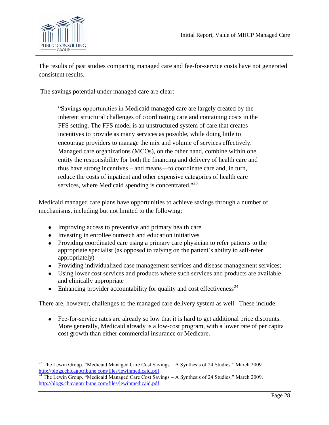

 $\overline{\phantom{a}}$ 

The results of past studies comparing managed care and fee-for-service costs have not generated consistent results.

The savings potential under managed care are clear:

―Savings opportunities in Medicaid managed care are largely created by the inherent structural challenges of coordinating care and containing costs in the FFS setting. The FFS model is an unstructured system of care that creates incentives to provide as many services as possible, while doing little to encourage providers to manage the mix and volume of services effectively. Managed care organizations (MCOs), on the other hand, combine within one entity the responsibility for both the financing and delivery of health care and thus have strong incentives – and means—to coordinate care and, in turn, reduce the costs of inpatient and other expensive categories of health care services, where Medicaid spending is concentrated."<sup>23</sup>

Medicaid managed care plans have opportunities to achieve savings through a number of mechanisms, including but not limited to the following:

- Improving access to preventive and primary health care
- Investing in enrollee outreach and education initiatives
- Providing coordinated care using a primary care physician to refer patients to the appropriate specialist (as opposed to relying on the patient's ability to self-refer appropriately)
- Providing individualized case management services and disease management services;
- Using lower cost services and products where such services and products are available and clinically appropriate
- Enhancing provider accountability for quality and cost effectiveness<sup>24</sup>

There are, however, challenges to the managed care delivery system as well. These include:

Fee-for-service rates are already so low that it is hard to get additional price discounts. More generally, Medicaid already is a low-cost program, with a lower rate of per capita cost growth than either commercial insurance or Medicare.

<sup>&</sup>lt;sup>23</sup> The Lewin Group. "Medicaid Managed Care Cost Savings – A Synthesis of 24 Studies." March 2009. <http://blogs.chicagotribune.com/files/lewinmedicaid.pdf>

<sup>&</sup>lt;sup>24</sup> The Lewin Group. "Medicaid Managed Care Cost Savings – A Synthesis of 24 Studies." March 2009. <http://blogs.chicagotribune.com/files/lewinmedicaid.pdf>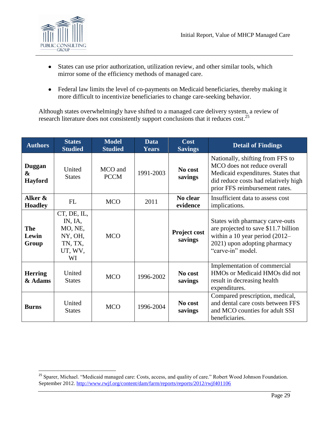

l

- States can use prior authorization, utilization review, and other similar tools, which  $\bullet$ mirror some of the efficiency methods of managed care.
- Federal law limits the level of co-payments on Medicaid beneficiaries, thereby making it more difficult to incentivize beneficiaries to change care-seeking behavior.

Although states overwhelmingly have shifted to a managed care delivery system, a review of research literature does not consistently support conclusions that it reduces cost.<sup>25</sup>

| <b>Authors</b>                                | <b>States</b><br><b>Studied</b>                                          | <b>Model</b><br><b>Studied</b> | <b>Data</b><br><b>Years</b> | Cost<br><b>Savings</b>         | <b>Detail of Findings</b>                                                                                                                                                       |
|-----------------------------------------------|--------------------------------------------------------------------------|--------------------------------|-----------------------------|--------------------------------|---------------------------------------------------------------------------------------------------------------------------------------------------------------------------------|
| Duggan<br>$\boldsymbol{\&}$<br><b>Hayford</b> | United<br><b>States</b>                                                  | MCO and<br><b>PCCM</b>         | 1991-2003                   | No cost<br>savings             | Nationally, shifting from FFS to<br>MCO does not reduce overall<br>Medicaid expenditures. States that<br>did reduce costs had relatively high<br>prior FFS reimbursement rates. |
| Alker &<br><b>Hoadley</b>                     | <b>FL</b>                                                                | <b>MCO</b>                     | 2011                        | No clear<br>evidence           | Insufficient data to assess cost<br>implications.                                                                                                                               |
| <b>The</b><br>Lewin<br>Group                  | CT, DE, IL,<br>IN, IA,<br>MO, NE,<br>NY, OH,<br>TN, TX,<br>UT, WV,<br>WI | <b>MCO</b>                     |                             | <b>Project cost</b><br>savings | States with pharmacy carve-outs<br>are projected to save \$11.7 billion<br>within a 10 year period $(2012-$<br>2021) upon adopting pharmacy<br>"carve-in" model.                |
| <b>Herring</b><br>& Adams                     | United<br><b>States</b>                                                  | <b>MCO</b>                     | 1996-2002                   | No cost<br>savings             | Implementation of commercial<br>HMOs or Medicaid HMOs did not<br>result in decreasing health<br>expenditures.                                                                   |
| <b>Burns</b>                                  | United<br><b>States</b>                                                  | <b>MCO</b>                     | 1996-2004                   | No cost<br>savings             | Compared prescription, medical,<br>and dental care costs between FFS<br>and MCO counties for adult SSI<br>beneficiaries.                                                        |

<sup>&</sup>lt;sup>25</sup> Sparer, Michael. "Medicaid managed care: Costs, access, and quality of care." Robert Wood Johnson Foundation. September 2012.<http://www.rwjf.org/content/dam/farm/reports/reports/2012/rwjf401106>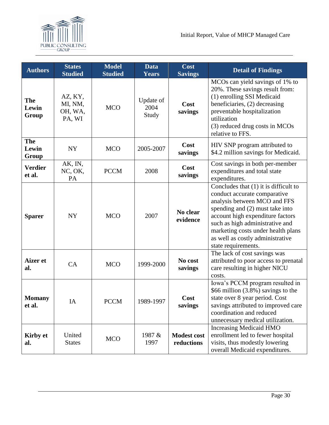

| <b>Authors</b>               | <b>States</b><br><b>Studied</b>         | <b>Model</b><br><b>Studied</b> | <b>Data</b><br><b>Years</b> | Cost<br><b>Savings</b>           | <b>Detail of Findings</b>                                                                                                                                                                                                                                                                                          |
|------------------------------|-----------------------------------------|--------------------------------|-----------------------------|----------------------------------|--------------------------------------------------------------------------------------------------------------------------------------------------------------------------------------------------------------------------------------------------------------------------------------------------------------------|
| <b>The</b><br>Lewin<br>Group | AZ, KY,<br>MI, NM,<br>OH, WA,<br>PA, WI | <b>MCO</b>                     | Update of<br>2004<br>Study  | Cost<br>savings                  | MCOs can yield savings of 1% to<br>20%. These savings result from:<br>(1) enrolling SSI Medicaid<br>beneficiaries, (2) decreasing<br>preventable hospitalization<br>utilization<br>(3) reduced drug costs in MCOs<br>relative to FFS.                                                                              |
| <b>The</b><br>Lewin<br>Group | NY                                      | <b>MCO</b>                     | 2005-2007                   | Cost<br>savings                  | HIV SNP program attributed to<br>\$4.2 million savings for Medicaid.                                                                                                                                                                                                                                               |
| <b>Verdier</b><br>et al.     | AK, IN,<br>NC, OK,<br>PA                | <b>PCCM</b>                    | 2008                        | Cost<br>savings                  | Cost savings in both per-member<br>expenditures and total state<br>expenditures.                                                                                                                                                                                                                                   |
| <b>Sparer</b>                | <b>NY</b>                               | <b>MCO</b>                     | 2007                        | No clear<br>evidence             | Concludes that $(1)$ it is difficult to<br>conduct accurate comparative<br>analysis between MCO and FFS<br>spending and (2) must take into<br>account high expenditure factors<br>such as high administrative and<br>marketing costs under health plans<br>as well as costly administrative<br>state requirements. |
| <b>Aizer</b> et<br>al.       | CA                                      | <b>MCO</b>                     | 1999-2000                   | No cost<br>savings               | The lack of cost savings was<br>attributed to poor access to prenatal<br>care resulting in higher NICU<br>costs.                                                                                                                                                                                                   |
| <b>Momany</b><br>et al.      | IA                                      | <b>PCCM</b>                    | 1989-1997                   | Cost<br>savings                  | Iowa's PCCM program resulted in<br>\$66 million (3.8%) savings to the<br>state over 8 year period. Cost<br>savings attributed to improved care<br>coordination and reduced<br>unnecessary medical utilization.                                                                                                     |
| <b>Kirby et</b><br>al.       | United<br><b>States</b>                 | <b>MCO</b>                     | 1987 &<br>1997              | <b>Modest cost</b><br>reductions | <b>Increasing Medicaid HMO</b><br>enrollment led to fewer hospital<br>visits, thus modestly lowering<br>overall Medicaid expenditures.                                                                                                                                                                             |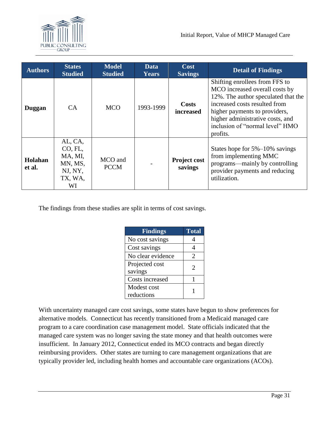

| <b>Authors</b>    | <b>States</b><br><b>Studied</b>                                      | <b>Model</b><br><b>Studied</b> | Data<br>Years | <b>Cost</b><br><b>Savings</b>  | <b>Detail of Findings</b>                                                                                                                                                                                                                                    |
|-------------------|----------------------------------------------------------------------|--------------------------------|---------------|--------------------------------|--------------------------------------------------------------------------------------------------------------------------------------------------------------------------------------------------------------------------------------------------------------|
| Duggan            | CA.                                                                  | <b>MCO</b>                     | 1993-1999     | <b>Costs</b><br>increased      | Shifting enrollees from FFS to<br>MCO increased overall costs by<br>12%. The author speculated that the<br>increased costs resulted from<br>higher payments to providers,<br>higher administrative costs, and<br>inclusion of "normal level" HMO<br>profits. |
| Holahan<br>et al. | AL, CA,<br>CO, FL,<br>MA, MI,<br>MN, MS,<br>NJ, NY,<br>TX, WA,<br>WI | MCO and<br><b>PCCM</b>         |               | <b>Project cost</b><br>savings | States hope for $5\% - 10\%$ savings<br>from implementing MMC<br>programs—mainly by controlling<br>provider payments and reducing<br>utilization.                                                                                                            |

The findings from these studies are split in terms of cost savings.

| <b>Findings</b>   | <b>Total</b>          |
|-------------------|-----------------------|
| No cost savings   | 4                     |
| Cost savings      | 4                     |
| No clear evidence | $\mathcal{D}_{\cdot}$ |
| Projected cost    | 2                     |
| savings           |                       |
| Costs increased   |                       |
| Modest cost       |                       |
| reductions        |                       |

With uncertainty managed care cost savings, some states have begun to show preferences for alternative models. Connecticut has recently transitioned from a Medicaid managed care program to a care coordination case management model. State officials indicated that the managed care system was no longer saving the state money and that health outcomes were insufficient. In January 2012, Connecticut ended its MCO contracts and began directly reimbursing providers. Other states are turning to care management organizations that are typically provider led, including health homes and accountable care organizations (ACOs).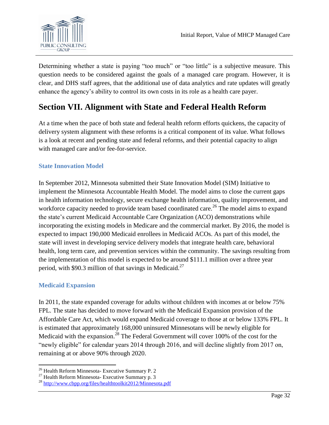

Determining whether a state is paying "too much" or "too little" is a subjective measure. This question needs to be considered against the goals of a managed care program. However, it is clear, and DHS staff agrees, that the additional use of data analytics and rate updates will greatly enhance the agency's ability to control its own costs in its role as a health care payer.

# **Section VII. Alignment with State and Federal Health Reform**

At a time when the pace of both state and federal health reform efforts quickens, the capacity of delivery system alignment with these reforms is a critical component of its value. What follows is a look at recent and pending state and federal reforms, and their potential capacity to align with managed care and/or fee-for-service.

# **State Innovation Model**

In September 2012, Minnesota submitted their State Innovation Model (SIM) Initiative to implement the Minnesota Accountable Health Model. The model aims to close the current gaps in health information technology, secure exchange health information, quality improvement, and workforce capacity needed to provide team based coordinated care.<sup>26</sup> The model aims to expand the state's current Medicaid Accountable Care Organization (ACO) demonstrations while incorporating the existing models in Medicare and the commercial market. By 2016, the model is expected to impact 190,000 Medicaid enrollees in Medicaid ACOs. As part of this model, the state will invest in developing service delivery models that integrate health care, behavioral health, long term care, and prevention services within the community. The savings resulting from the implementation of this model is expected to be around \$111.1 million over a three year period, with \$90.3 million of that savings in Medicaid.<sup>27</sup>

# **Medicaid Expansion**

In 2011, the state expanded coverage for adults without children with incomes at or below 75% FPL. The state has decided to move forward with the Medicaid Expansion provision of the Affordable Care Act, which would expand Medicaid coverage to those at or below 133% FPL. It is estimated that approximately 168,000 uninsured Minnesotans will be newly eligible for Medicaid with the expansion.<sup>28</sup> The Federal Government will cover 100% of the cost for the "newly eligible" for calendar years 2014 through 2016, and will decline slightly from 2017 on, remaining at or above 90% through 2020.

 $\overline{\phantom{a}}$  $26$  Health Reform Minnesota- Executive Summary P. 2

<sup>27</sup> Health Reform Minnesota- Executive Summary p. 3

<sup>28</sup> <http://www.cbpp.org/files/healthtoolkit2012/Minnesota.pdf>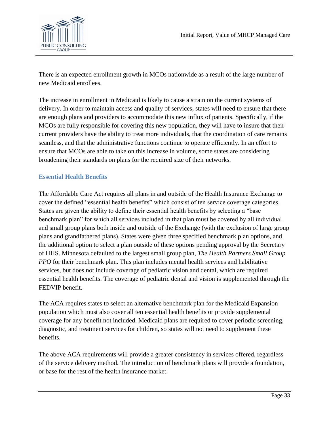

There is an expected enrollment growth in MCOs nationwide as a result of the large number of new Medicaid enrollees.

The increase in enrollment in Medicaid is likely to cause a strain on the current systems of delivery. In order to maintain access and quality of services, states will need to ensure that there are enough plans and providers to accommodate this new influx of patients. Specifically, if the MCOs are fully responsible for covering this new population, they will have to insure that their current providers have the ability to treat more individuals, that the coordination of care remains seamless, and that the administrative functions continue to operate efficiently. In an effort to ensure that MCOs are able to take on this increase in volume, some states are considering broadening their standards on plans for the required size of their networks.

# **Essential Health Benefits**

The Affordable Care Act requires all plans in and outside of the Health Insurance Exchange to cover the defined "essential health benefits" which consist of ten service coverage categories. States are given the ability to define their essential health benefits by selecting a "base" benchmark plan" for which all services included in that plan must be covered by all individual and small group plans both inside and outside of the Exchange (with the exclusion of large group plans and grandfathered plans). States were given three specified benchmark plan options, and the additional option to select a plan outside of these options pending approval by the Secretary of HHS. Minnesota defaulted to the largest small group plan, *The Health Partners Small Group PPO* for their benchmark plan. This plan includes mental health services and habilitative services, but does not include coverage of pediatric vision and dental, which are required essential health benefits. The coverage of pediatric dental and vision is supplemented through the FEDVIP benefit.

The ACA requires states to select an alternative benchmark plan for the Medicaid Expansion population which must also cover all ten essential health benefits or provide supplemental coverage for any benefit not included. Medicaid plans are required to cover periodic screening, diagnostic, and treatment services for children, so states will not need to supplement these benefits.

The above ACA requirements will provide a greater consistency in services offered, regardless of the service delivery method. The introduction of benchmark plans will provide a foundation, or base for the rest of the health insurance market.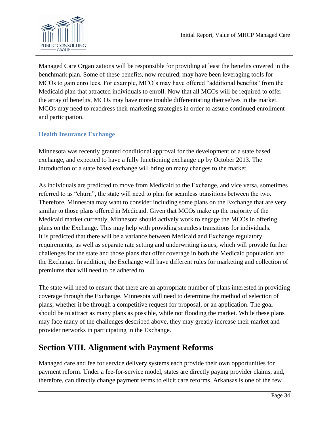

Managed Care Organizations will be responsible for providing at least the benefits covered in the benchmark plan. Some of these benefits, now required, may have been leveraging tools for MCOs to gain enrollees. For example, MCO's may have offered "additional benefits" from the Medicaid plan that attracted individuals to enroll. Now that all MCOs will be required to offer the array of benefits, MCOs may have more trouble differentiating themselves in the market. MCOs may need to readdress their marketing strategies in order to assure continued enrollment and participation.

# **Health Insurance Exchange**

Minnesota was recently granted conditional approval for the development of a state based exchange, and expected to have a fully functioning exchange up by October 2013. The introduction of a state based exchange will bring on many changes to the market.

As individuals are predicted to move from Medicaid to the Exchange, and vice versa, sometimes referred to as "churn", the state will need to plan for seamless transitions between the two. Therefore, Minnesota may want to consider including some plans on the Exchange that are very similar to those plans offered in Medicaid. Given that MCOs make up the majority of the Medicaid market currently, Minnesota should actively work to engage the MCOs in offering plans on the Exchange. This may help with providing seamless transitions for individuals. It is predicted that there will be a variance between Medicaid and Exchange regulatory requirements, as well as separate rate setting and underwriting issues, which will provide further challenges for the state and those plans that offer coverage in both the Medicaid population and the Exchange. In addition, the Exchange will have different rules for marketing and collection of premiums that will need to be adhered to.

The state will need to ensure that there are an appropriate number of plans interested in providing coverage through the Exchange. Minnesota will need to determine the method of selection of plans, whether it be through a competitive request for proposal, or an application. The goal should be to attract as many plans as possible, while not flooding the market. While these plans may face many of the challenges described above, they may greatly increase their market and provider networks in participating in the Exchange.

# **Section VIII. Alignment with Payment Reforms**

Managed care and fee for service delivery systems each provide their own opportunities for payment reform. Under a fee-for-service model, states are directly paying provider claims, and, therefore, can directly change payment terms to elicit care reforms. Arkansas is one of the few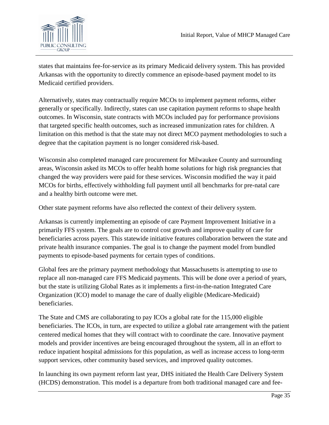

states that maintains fee-for-service as its primary Medicaid delivery system. This has provided Arkansas with the opportunity to directly commence an episode-based payment model to its Medicaid certified providers.

Alternatively, states may contractually require MCOs to implement payment reforms, either generally or specifically. Indirectly, states can use capitation payment reforms to shape health outcomes. In Wisconsin, state contracts with MCOs included pay for performance provisions that targeted specific health outcomes, such as increased immunization rates for children. A limitation on this method is that the state may not direct MCO payment methodologies to such a degree that the capitation payment is no longer considered risk-based.

Wisconsin also completed managed care procurement for Milwaukee County and surrounding areas, Wisconsin asked its MCOs to offer health home solutions for high risk pregnancies that changed the way providers were paid for these services. Wisconsin modified the way it paid MCOs for births, effectively withholding full payment until all benchmarks for pre-natal care and a healthy birth outcome were met.

Other state payment reforms have also reflected the context of their delivery system.

Arkansas is currently implementing an episode of care Payment Improvement Initiative in a primarily FFS system. The goals are to control cost growth and improve quality of care for beneficiaries across payers. This statewide initiative features collaboration between the state and private health insurance companies. The goal is to change the payment model from bundled payments to episode-based payments for certain types of conditions.

Global fees are the primary payment methodology that Massachusetts is attempting to use to replace all non-managed care FFS Medicaid payments. This will be done over a period of years, but the state is utilizing Global Rates as it implements a first-in-the-nation Integrated Care Organization (ICO) model to manage the care of dually eligible (Medicare-Medicaid) beneficiaries.

The State and CMS are collaborating to pay ICOs a global rate for the 115,000 eligible beneficiaries. The ICOs, in turn, are expected to utilize a global rate arrangement with the patient centered medical homes that they will contract with to coordinate the care. Innovative payment models and provider incentives are being encouraged throughout the system, all in an effort to reduce inpatient hospital admissions for this population, as well as increase access to long-term support services, other community based services, and improved quality outcomes.

In launching its own payment reform last year, DHS initiated the Health Care Delivery System (HCDS) demonstration. This model is a departure from both traditional managed care and fee-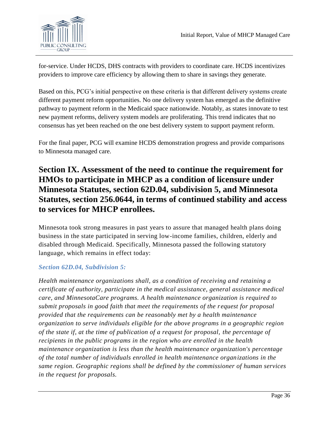

for-service. Under HCDS, DHS contracts with providers to coordinate care. HCDS incentivizes providers to improve care efficiency by allowing them to share in savings they generate.

Based on this, PCG's initial perspective on these criteria is that different delivery systems create different payment reform opportunities. No one delivery system has emerged as the definitive pathway to payment reform in the Medicaid space nationwide. Notably, as states innovate to test new payment reforms, delivery system models are proliferating. This trend indicates that no consensus has yet been reached on the one best delivery system to support payment reform.

For the final paper, PCG will examine HCDS demonstration progress and provide comparisons to Minnesota managed care.

# **Section IX. Assessment of the need to continue the requirement for HMOs to participate in MHCP as a condition of licensure under Minnesota Statutes, section 62D.04, subdivision 5, and Minnesota Statutes, section 256.0644, in terms of continued stability and access to services for MHCP enrollees.**

Minnesota took strong measures in past years to assure that managed health plans doing business in the state participated in serving low-income families, children, elderly and disabled through Medicaid. Specifically, Minnesota passed the following statutory language, which remains in effect today:

# *Section 62D.04, Subdivision 5:*

*Health maintenance organizations shall, as a condition of receiving and retaining a certificate of authority, participate in the medical assistance, general assistance medical care, and MinnesotaCare programs. A health maintenance organization is required to submit proposals in good faith that meet the requirements of the request for proposal provided that the requirements can be reasonably met by a health maintenance organization to serve individuals eligible for the above programs in a geographic region of the state if, at the time of publication of a request for proposal, the percentage of recipients in the public programs in the region who are enrolled in the health maintenance organization is less than the health maintenance organization's percentage of the total number of individuals enrolled in health maintenance organizations in the same region. Geographic regions shall be defined by the commissioner of human services in the request for proposals.*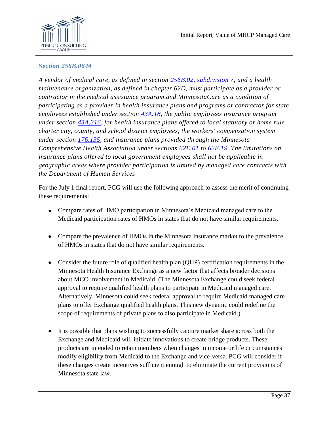

#### *Section 256B.0644*

*A vendor of medical care, as defined in section [256B.02, subdivision 7,](https://www.revisor.mn.gov/statutes?id=256B.02#stat.256B.02.7) and a health maintenance organization, as defined in chapter 62D, must participate as a provider or contractor in the medical assistance program and MinnesotaCare as a condition of participating as a provider in health insurance plans and programs or contractor for state employees established under section [43A.18,](https://www.revisor.mn.gov/statutes?id=43A.18#stat.43A.18) the public employees insurance program under section [43A.316,](https://www.revisor.mn.gov/statutes?id=43A.316#stat.43A.316) for health insurance plans offered to local statutory or home rule charter city, county, and school district employees, the workers' compensation system under section [176.135,](https://www.revisor.mn.gov/statutes?id=176.135#stat.176.135) and insurance plans provided through the Minnesota Comprehensive Health Association under sections [62E.01](https://www.revisor.mn.gov/statutes?id=62E.01#stat.62E.01) to [62E.19.](https://www.revisor.mn.gov/statutes?id=62E.19#stat.62E.19) The limitations on insurance plans offered to local government employees shall not be applicable in geographic areas where provider participation is limited by managed care contracts with the Department of Human Services*

For the July 1 final report, PCG will use the following approach to assess the merit of continuing these requirements:

- Compare rates of HMO participation in Minnesota's Medicaid managed care to the Medicaid participation rates of HMOs in states that do not have similar requirements.
- Compare the prevalence of HMOs in the Minnesota insurance market to the prevalence of HMOs in states that do not have similar requirements.
- Consider the future role of qualified health plan (QHP) certification requirements in the Minnesota Health Insurance Exchange as a new factor that affects broader decisions about MCO involvement in Medicaid. (The Minnesota Exchange could seek federal approval to require qualified health plans to participate in Medicaid managed care. Alternatively, Minnesota could seek federal approval to require Medicaid managed care plans to offer Exchange qualified health plans. This new dynamic could redefine the scope of requirements of private plans to also participate in Medicaid.)
- It is possible that plans wishing to successfully capture market share across both the Exchange and Medicaid will initiate innovations to create bridge products. These products are intended to retain members when changes in income or life circumstances modify eligibility from Medicaid to the Exchange and vice-versa. PCG will consider if these changes create incentives sufficient enough to eliminate the current provisions of Minnesota state law.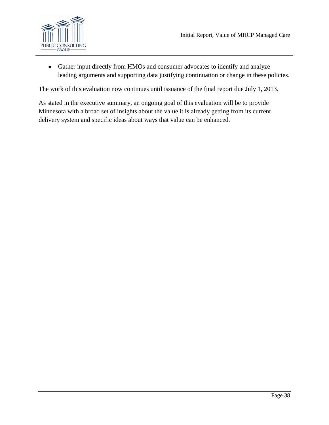

Gather input directly from HMOs and consumer advocates to identify and analyze  $\bullet$ leading arguments and supporting data justifying continuation or change in these policies.

The work of this evaluation now continues until issuance of the final report due July 1, 2013.

As stated in the executive summary, an ongoing goal of this evaluation will be to provide Minnesota with a broad set of insights about the value it is already getting from its current delivery system and specific ideas about ways that value can be enhanced.